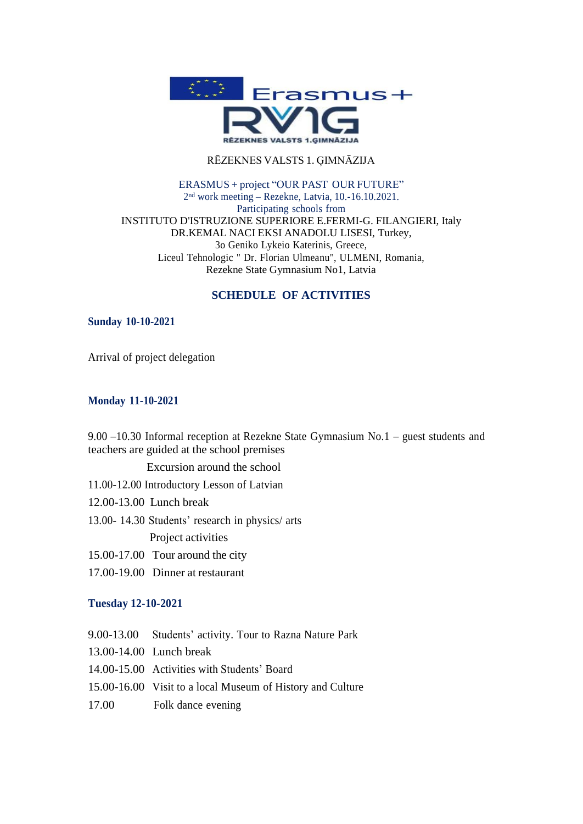

#### RĒZEKNES VALSTS 1. ĢIMNĀZIJA

#### ERASMUS + project "OUR PAST OUR FUTURE" 2nd work meeting – Rezekne, Latvia, 10.-16.10.2021. Participating schools from INSTITUTO D'ISTRUZIONE SUPERIORE E.FERMI-G. FILANGIERI, Italy DR.KEMAL NACI EKSI ANADOLU LISESI, Turkey, 3o Geniko Lykeio Katerinis, Greece, Liceul Tehnologic " Dr. Florian Ulmeanu", ULMENI, Romania, Rezekne State Gymnasium No1, Latvia

### **SCHEDULE OF ACTIVITIES**

#### **Sunday 10-10-2021**

Arrival of project delegation

#### **Monday 11-10-2021**

9.00 –10.30 Informal reception at Rezekne State Gymnasium No.1 – guest students and teachers are guided at the school premises

Excursion around the school

- 11.00-12.00 Introductory Lesson of Latvian
- 12.00-13.00 Lunch break
- 13.00- 14.30 Students' research in physics/ arts

Project activities

- 15.00-17.00 Tour around the city
- 17.00-19.00 Dinner at restaurant

#### **Tuesday 12-10-2021**

- 9.00-13.00 Students' activity. Tour to Razna Nature Park
- 13.00-14.00 Lunch break
- 14.00-15.00 Activities with Students' Board
- 15.00-16.00 Visit to a local Museum of History and Culture
- 17.00 Folk dance evening